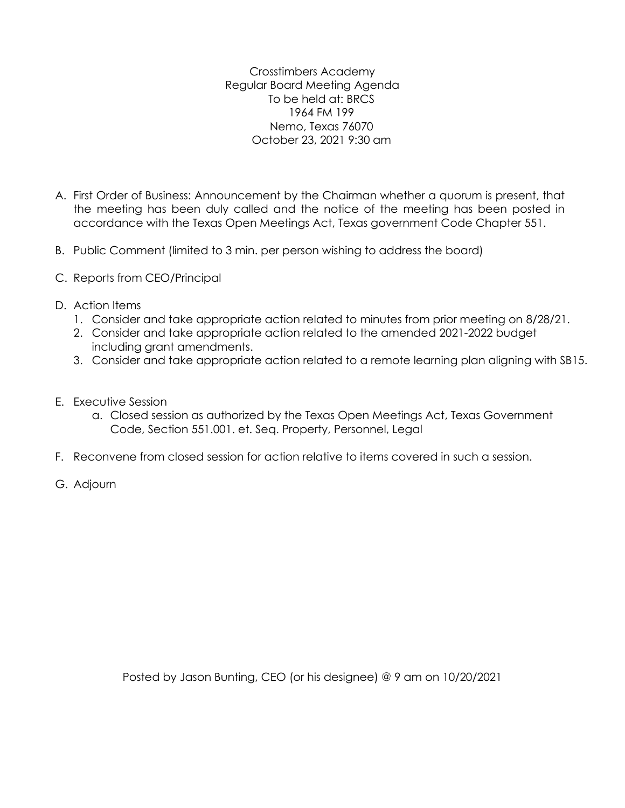Crosstimbers Academy Regular Board Meeting Agenda To be held at: BRCS 1964 FM 199 Nemo, Texas 76070 October 23, 2021 9:30 am

- A. First Order of Business: Announcement by the Chairman whether a quorum is present, that the meeting has been duly called and the notice of the meeting has been posted in accordance with the Texas Open Meetings Act, Texas government Code Chapter 551.
- B. Public Comment (limited to 3 min. per person wishing to address the board)
- C. Reports from CEO/Principal
- D. Action Items
	- 1. Consider and take appropriate action related to minutes from prior meeting on 8/28/21.
	- 2. Consider and take appropriate action related to the amended 2021-2022 budget including grant amendments.
	- 3. Consider and take appropriate action related to a remote learning plan aligning with SB15.
- E. Executive Session
	- a. Closed session as authorized by the Texas Open Meetings Act, Texas Government Code, Section 551.001. et. Seq. Property, Personnel, Legal
- F. Reconvene from closed session for action relative to items covered in such a session.
- G. Adjourn

Posted by Jason Bunting, CEO (or his designee) @ 9 am on 10/20/2021